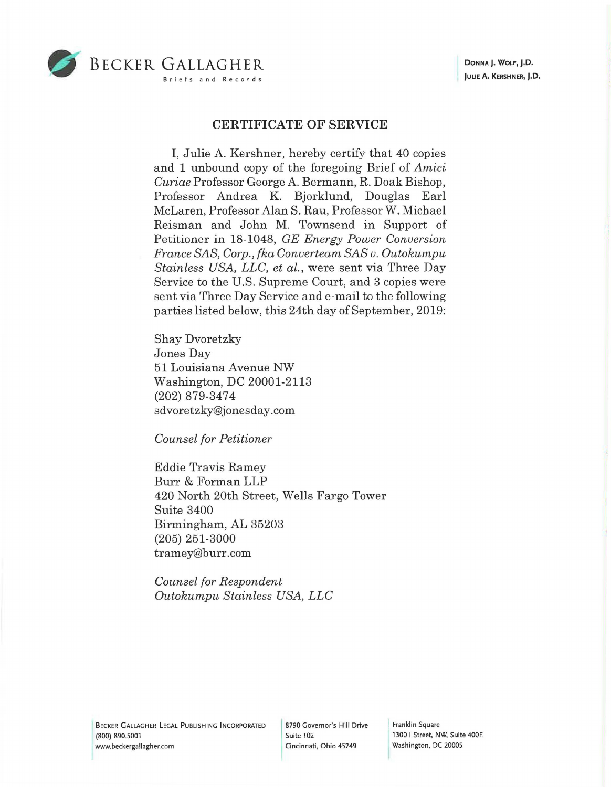

## BECKER GALLAGHER Briefs and Records

## **CERTIFICATE OF SERVICE**

I, Julie A. Kershner, hereby certify that 40 copies and 1 unbound copy of the foregoing Brief of *Amici Curiae* Professor George A. Bermann, R. Doak Bishop, Professor Andrea K. Bjorklund, Douglas Earl McLaren, Professor Alan S. Rau, Professor W. Michael Reisman and John M. Townsend in Support of Petitioner in 18-1048, *GE Energy Power Conversion France SAS, Corp., fka Converteam SAS v. Outokumpu Stainless USA, LLC, et al.,* were sent via Three Day Service to the U.S. Supreme Court, and 3 copies were sent via Three Day Service and e-mail to the following parties listed below, this 24th day of September, 2019:

Shay Dvoretzky Jones Day 51 Louisiana Avenue NW Washington, DC 20001-2113 (202) 879-3474 sdvoretzky@jonesday.com

*Counsel for Petitioner* 

Eddie Travis Ramey Burr & Forman LLP 420 North 20th Street, Wells Fargo Tower Suite 3400 Birmingham, AL 35203 (205) 251-3000 tramey@burr.com

*Counsel for Respondent Outokumpu Stainless USA, LLC* 

Franklin Square 1300 I Street, NW, Suite 400E Washington, DC 20005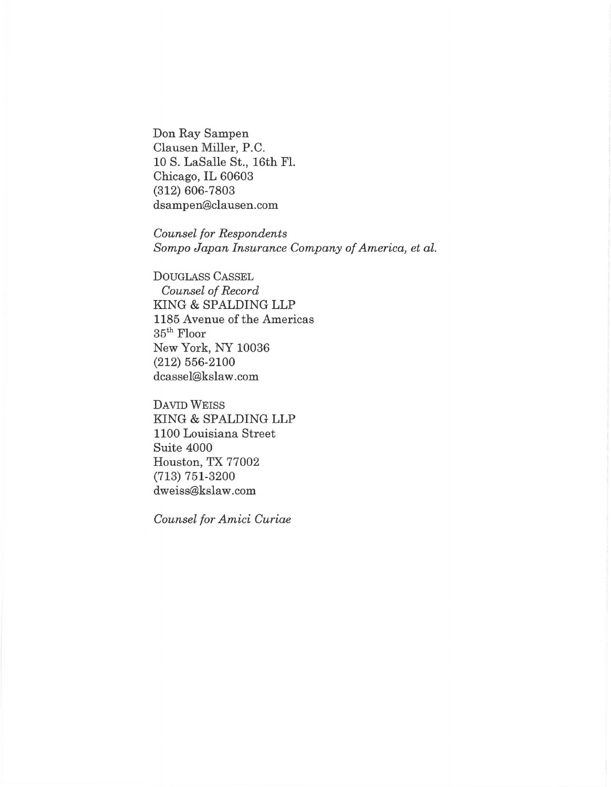Don Ray Sampen Clausen Miller, P.C. 10 S. LaSalle St., 16th FL Chicago, IL 60603 (312) 606-7803 dsampen@clausen.com

*Counsel for Respondents Sompo Japan Insurance Company of America, et al.* 

DOUGLASS CASSEL *Counsel of Record*  KING & SPALDING LLP 1185 Avenue of the Americas 35th Floor New York, NY 10036 (212) 556-2100 dcassel@kslaw.com

DAVID WEISS KING & SPALDING LLP 1100 Louisiana Street Suite 4000 Houston, TX 77002 (713) 751-3200 dweiss@kslaw.com

*Counsel for Amici Curiae*